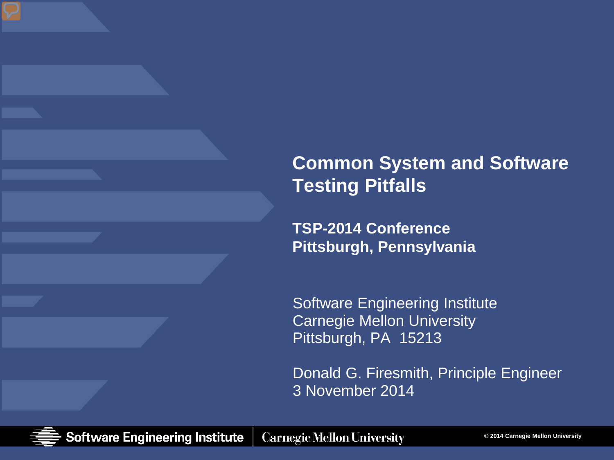#### **Common System and Software Testing Pitfalls**

**TSP-2014 Conference Pittsburgh, Pennsylvania**

Software Engineering Institute Carnegie Mellon University Pittsburgh, PA 15213

Donald G. Firesmith, Principle Engineer 3 November 2014



Software Engineering Institute **Carnegie Mellon University**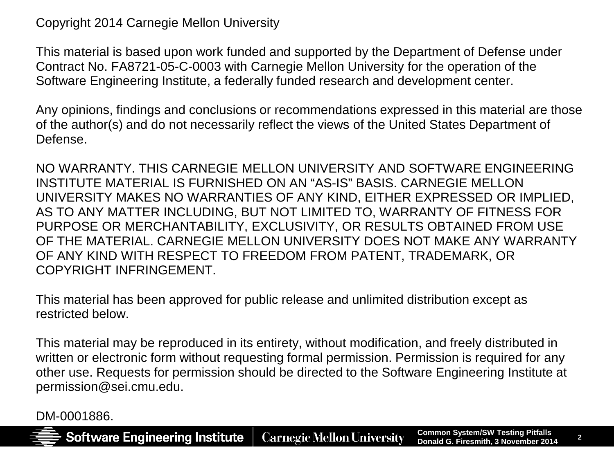Copyright 2014 Carnegie Mellon University

This material is based upon work funded and supported by the Department of Defense under Contract No. FA8721-05-C-0003 with Carnegie Mellon University for the operation of the Software Engineering Institute, a federally funded research and development center.

Any opinions, findings and conclusions or recommendations expressed in this material are those of the author(s) and do not necessarily reflect the views of the United States Department of Defense.

NO WARRANTY. THIS CARNEGIE MELLON UNIVERSITY AND SOFTWARE ENGINEERING INSTITUTE MATERIAL IS FURNISHED ON AN "AS-IS" BASIS. CARNEGIE MELLON UNIVERSITY MAKES NO WARRANTIES OF ANY KIND, EITHER EXPRESSED OR IMPLIED, AS TO ANY MATTER INCLUDING, BUT NOT LIMITED TO, WARRANTY OF FITNESS FOR PURPOSE OR MERCHANTABILITY, EXCLUSIVITY, OR RESULTS OBTAINED FROM USE OF THE MATERIAL. CARNEGIE MELLON UNIVERSITY DOES NOT MAKE ANY WARRANTY OF ANY KIND WITH RESPECT TO FREEDOM FROM PATENT, TRADEMARK, OR COPYRIGHT INFRINGEMENT.

This material has been approved for public release and unlimited distribution except as restricted below.

This material may be reproduced in its entirety, without modification, and freely distributed in written or electronic form without requesting formal permission. Permission is required for any other use. Requests for permission should be directed to the Software Engineering Institute at permission@sei.cmu.edu.

DM-0001886.

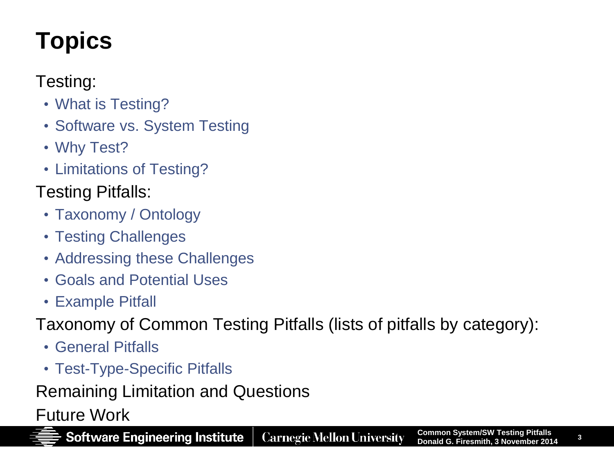# **Topics**

#### Testing:

- What is Testing?
- Software vs. System Testing
- Why Test?
- Limitations of Testing?

### Testing Pitfalls:

- Taxonomy / Ontology
- Testing Challenges
- Addressing these Challenges
- Goals and Potential Uses
- Example Pitfall
- Taxonomy of Common Testing Pitfalls (lists of pitfalls by category):
	- General Pitfalls
	- Test-Type-Specific Pitfalls

#### Remaining Limitation and Questions

#### Future Work

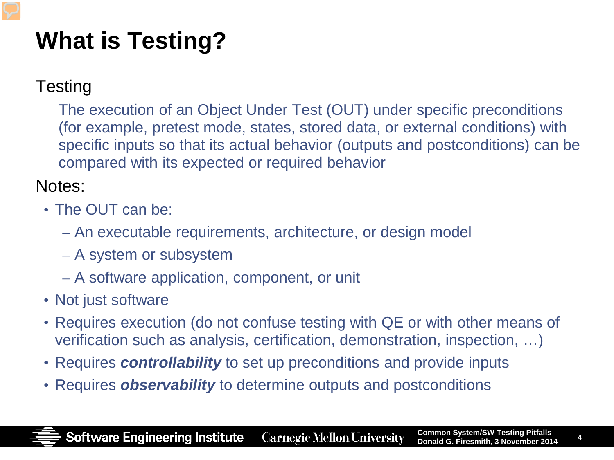# **What is Testing?**

#### Testing

The execution of an Object Under Test (OUT) under specific preconditions (for example, pretest mode, states, stored data, or external conditions) with specific inputs so that its actual behavior (outputs and postconditions) can be compared with its expected or required behavior

#### Notes:

- The OUT can be:
	- An executable requirements, architecture, or design model
	- A system or subsystem
	- A software application, component, or unit
- Not just software
- Requires execution (do not confuse testing with QE or with other means of verification such as analysis, certification, demonstration, inspection, …)
- Requires *controllability* to set up preconditions and provide inputs
- Requires *observability* to determine outputs and postconditions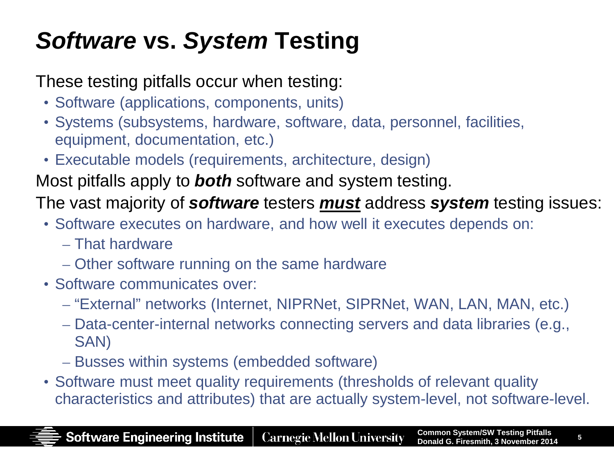# *Software* **vs.** *System* **Testing**

#### These testing pitfalls occur when testing:

- Software (applications, components, units)
- Systems (subsystems, hardware, software, data, personnel, facilities, equipment, documentation, etc.)
- Executable models (requirements, architecture, design)

#### Most pitfalls apply to *both* software and system testing.

#### The vast majority of *software* testers *must* address *system* testing issues:

- Software executes on hardware, and how well it executes depends on:
	- That hardware
	- Other software running on the same hardware
- Software communicates over:
	- "External" networks (Internet, NIPRNet, SIPRNet, WAN, LAN, MAN, etc.)
	- Data-center-internal networks connecting servers and data libraries (e.g., SAN)
	- Busses within systems (embedded software)
- Software must meet quality requirements (thresholds of relevant quality characteristics and attributes) that are actually system-level, not software-level.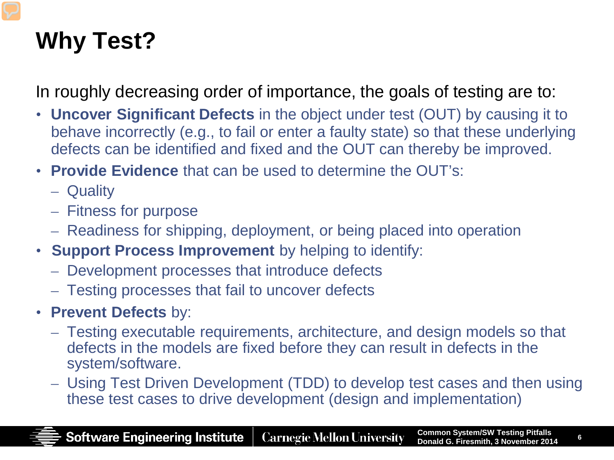# **Why Test?**

In roughly decreasing order of importance, the goals of testing are to:

- **Uncover Significant Defects** in the object under test (OUT) by causing it to behave incorrectly (e.g., to fail or enter a faulty state) so that these underlying defects can be identified and fixed and the OUT can thereby be improved.
- **Provide Evidence** that can be used to determine the OUT's:
	- Quality
	- Fitness for purpose
	- Readiness for shipping, deployment, or being placed into operation
- **Support Process Improvement** by helping to identify:
	- Development processes that introduce defects
	- Testing processes that fail to uncover defects
- **Prevent Defects** by:
	- Testing executable requirements, architecture, and design models so that defects in the models are fixed before they can result in defects in the system/software.
	- Using Test Driven Development (TDD) to develop test cases and then using these test cases to drive development (design and implementation)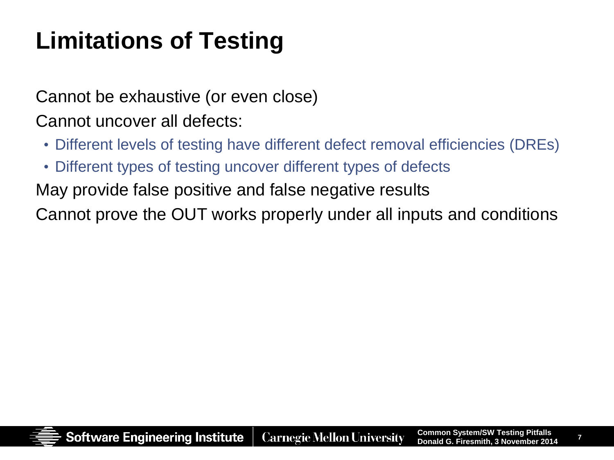# **Limitations of Testing**

Cannot be exhaustive (or even close)

Cannot uncover all defects:

- Different levels of testing have different defect removal efficiencies (DREs)
- Different types of testing uncover different types of defects

May provide false positive and false negative results

Cannot prove the OUT works properly under all inputs and conditions

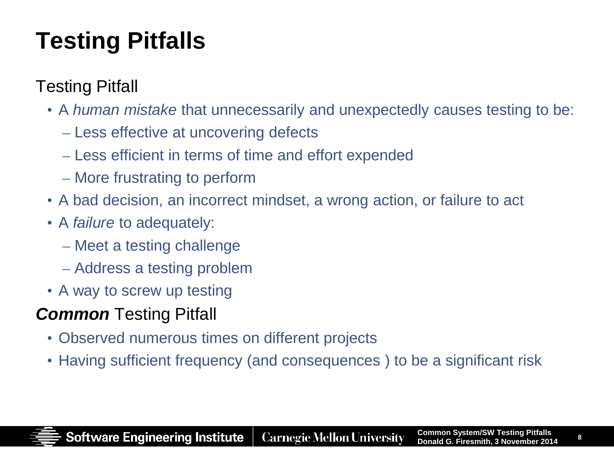# **Testing Pitfalls**

#### Testing Pitfall

- A *human mistake* that unnecessarily and unexpectedly causes testing to be:
	- Less effective at uncovering defects
	- Less efficient in terms of time and effort expended
	- More frustrating to perform
- A bad decision, an incorrect mindset, a wrong action, or failure to act
- A *failure* to adequately:
	- Meet a testing challenge
	- Address a testing problem
- A way to screw up testing

#### *Common* Testing Pitfall

- Observed numerous times on different projects
- Having sufficient frequency (and consequences ) to be a significant risk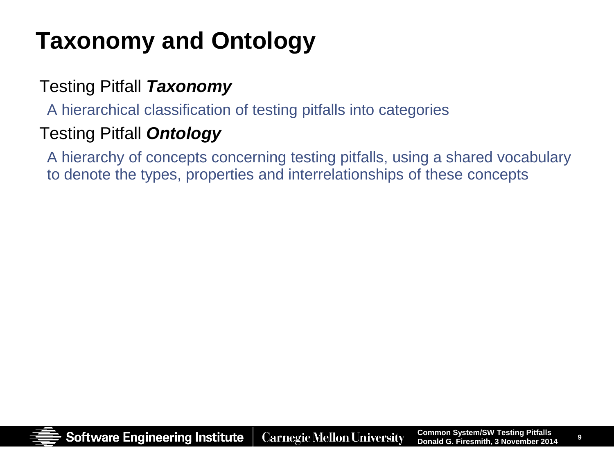# **Taxonomy and Ontology**

#### Testing Pitfall *Taxonomy*

A hierarchical classification of testing pitfalls into categories

#### Testing Pitfall *Ontology*

A hierarchy of concepts concerning testing pitfalls, using a shared vocabulary to denote the types, properties and interrelationships of these concepts

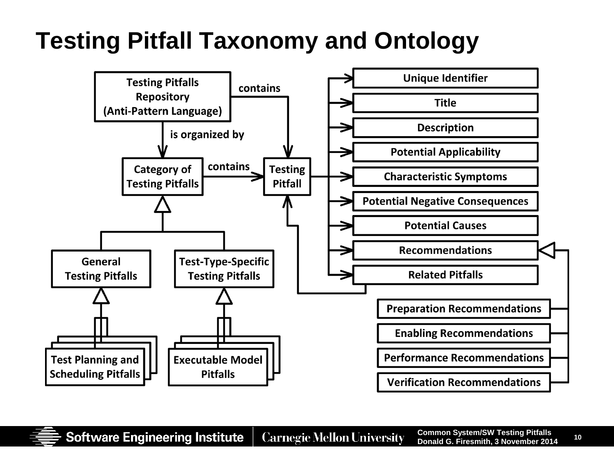# **Testing Pitfall Taxonomy and Ontology**

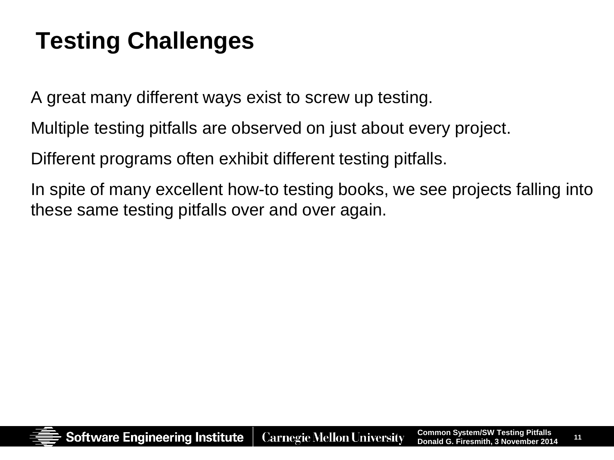# **Testing Challenges**

A great many different ways exist to screw up testing.

Multiple testing pitfalls are observed on just about every project.

Different programs often exhibit different testing pitfalls.

In spite of many excellent how-to testing books, we see projects falling into these same testing pitfalls over and over again.

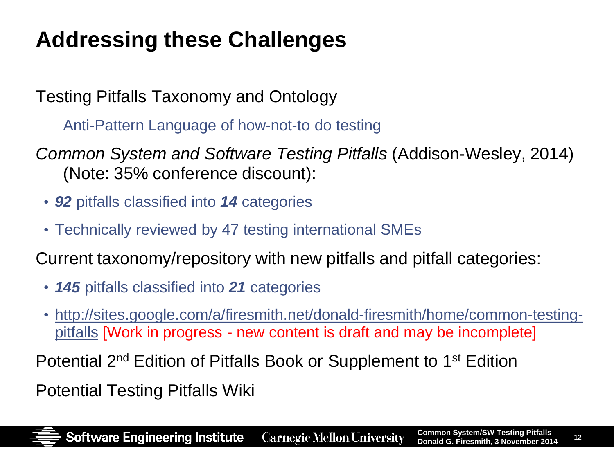## **Addressing these Challenges**

Testing Pitfalls Taxonomy and Ontology

Anti-Pattern Language of how-not-to do testing

- *Common System and Software Testing Pitfalls* (Addison-Wesley, 2014) (Note: 35% conference discount):
- *92* pitfalls classified into *14* categories
- Technically reviewed by 47 testing international SMEs

Current taxonomy/repository with new pitfalls and pitfall categories:

- *145* pitfalls classified into *21* categories
- [http://sites.google.com/a/firesmith.net/donald-firesmith/home/common-testing](http://sites.google.com/a/firesmith.net/donald-firesmith/home/common-testing-pitfalls)pitfalls [Work in progress - new content is draft and may be incomplete]

Potential 2nd Edition of Pitfalls Book or Supplement to 1st Edition Potential Testing Pitfalls Wiki

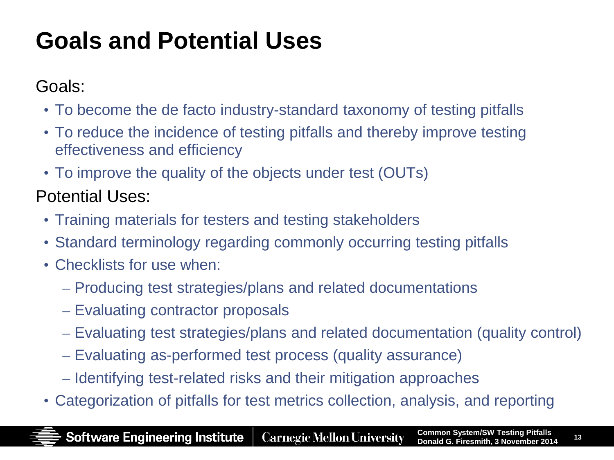# **Goals and Potential Uses**

#### Goals:

- To become the de facto industry-standard taxonomy of testing pitfalls
- To reduce the incidence of testing pitfalls and thereby improve testing effectiveness and efficiency
- To improve the quality of the objects under test (OUTs)

#### Potential Uses:

- Training materials for testers and testing stakeholders
- Standard terminology regarding commonly occurring testing pitfalls
- Checklists for use when:
	- Producing test strategies/plans and related documentations
	- Evaluating contractor proposals
	- Evaluating test strategies/plans and related documentation (quality control)
	- Evaluating as-performed test process (quality assurance)
	- Identifying test-related risks and their mitigation approaches
- Categorization of pitfalls for test metrics collection, analysis, and reporting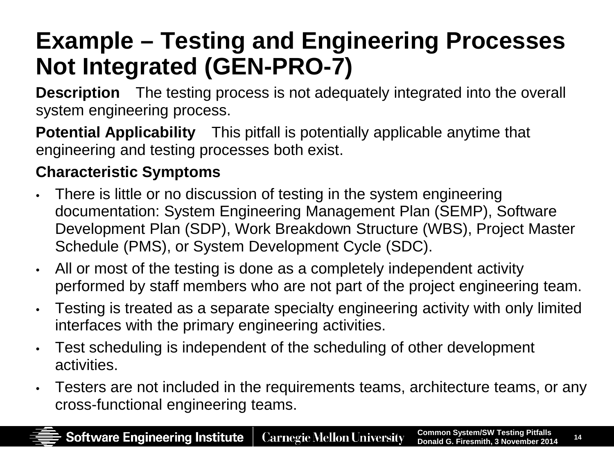**Description** The testing process is not adequately integrated into the overall system engineering process.

**Potential Applicability** This pitfall is potentially applicable anytime that engineering and testing processes both exist.

#### **Characteristic Symptoms**

- There is little or no discussion of testing in the system engineering documentation: System Engineering Management Plan (SEMP), Software Development Plan (SDP), Work Breakdown Structure (WBS), Project Master Schedule (PMS), or System Development Cycle (SDC).
- All or most of the testing is done as a completely independent activity performed by staff members who are not part of the project engineering team.
- Testing is treated as a separate specialty engineering activity with only limited interfaces with the primary engineering activities.
- Test scheduling is independent of the scheduling of other development activities.
- Testers are not included in the requirements teams, architecture teams, or any cross-functional engineering teams.

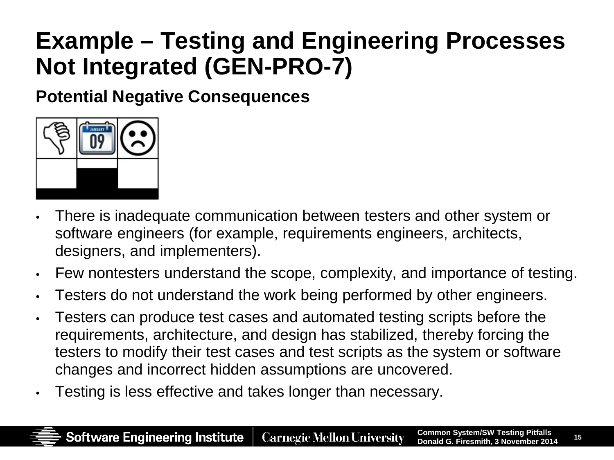**Potential Negative Consequences**



- There is inadequate communication between testers and other system or software engineers (for example, requirements engineers, architects, designers, and implementers).
- Few nontesters understand the scope, complexity, and importance of testing.
- Testers do not understand the work being performed by other engineers.
- Testers can produce test cases and automated testing scripts before the requirements, architecture, and design has stabilized, thereby forcing the testers to modify their test cases and test scripts as the system or software changes and incorrect hidden assumptions are uncovered.
- Testing is less effective and takes longer than necessary.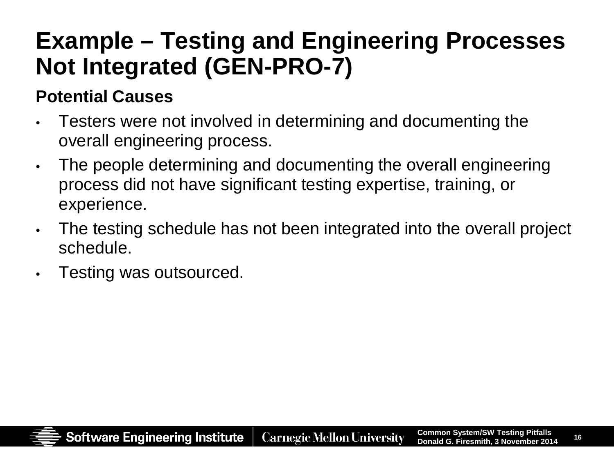#### **Potential Causes**

- Testers were not involved in determining and documenting the overall engineering process.
- The people determining and documenting the overall engineering process did not have significant testing expertise, training, or experience.
- The testing schedule has not been integrated into the overall project schedule.
- Testing was outsourced.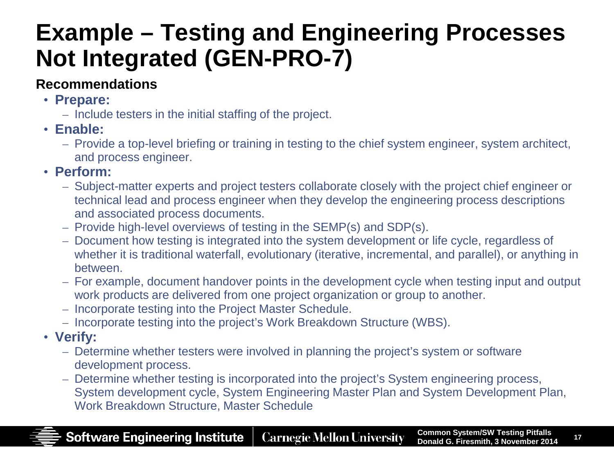#### **Recommendations**

- **Prepare:**
	- Include testers in the initial staffing of the project.
- **Enable:**
	- Provide a top-level briefing or training in testing to the chief system engineer, system architect, and process engineer.
- **Perform:**
	- Subject-matter experts and project testers collaborate closely with the project chief engineer or technical lead and process engineer when they develop the engineering process descriptions and associated process documents.
	- Provide high-level overviews of testing in the SEMP(s) and SDP(s).
	- Document how testing is integrated into the system development or life cycle, regardless of whether it is traditional waterfall, evolutionary (iterative, incremental, and parallel), or anything in between.
	- For example, document handover points in the development cycle when testing input and output work products are delivered from one project organization or group to another.
	- Incorporate testing into the Project Master Schedule.
	- Incorporate testing into the project's Work Breakdown Structure (WBS).
- **Verify:**
	- Determine whether testers were involved in planning the project's system or software development process.
	- Determine whether testing is incorporated into the project's System engineering process, System development cycle, System Engineering Master Plan and System Development Plan, Work Breakdown Structure, Master Schedule

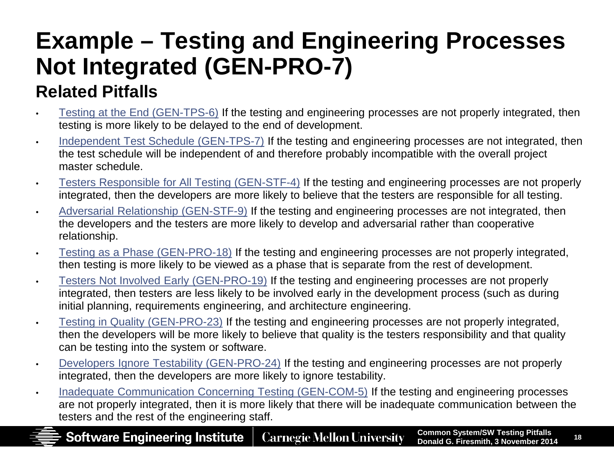#### **Related Pitfalls**

- Testing at the End (GEN-TPS-6) If the testing and engineering processes are not properly integrated, then testing is more likely to be delayed to the end of development.
- Independent Test Schedule (GEN-TPS-7) If the testing and engineering processes are not integrated, then the test schedule will be independent of and therefore probably incompatible with the overall project master schedule.
- Testers Responsible for All Testing (GEN-STF-4) If the testing and engineering processes are not properly integrated, then the developers are more likely to believe that the testers are responsible for all testing.
- Adversarial Relationship (GEN-STF-9) If the testing and engineering processes are not integrated, then the developers and the testers are more likely to develop and adversarial rather than cooperative relationship.
- Testing as a Phase (GEN-PRO-18) If the testing and engineering processes are not properly integrated, then testing is more likely to be viewed as a phase that is separate from the rest of development.
- Testers Not Involved Early (GEN-PRO-19) If the testing and engineering processes are not properly integrated, then testers are less likely to be involved early in the development process (such as during initial planning, requirements engineering, and architecture engineering.
- Testing in Quality (GEN-PRO-23) If the testing and engineering processes are not properly integrated, then the developers will be more likely to believe that quality is the testers responsibility and that quality can be testing into the system or software.
- Developers Ignore Testability (GEN-PRO-24) If the testing and engineering processes are not properly integrated, then the developers are more likely to ignore testability.
- Inadequate Communication Concerning Testing (GEN-COM-5) If the testing and engineering processes are not properly integrated, then it is more likely that there will be inadequate communication between the testers and the rest of the engineering staff.

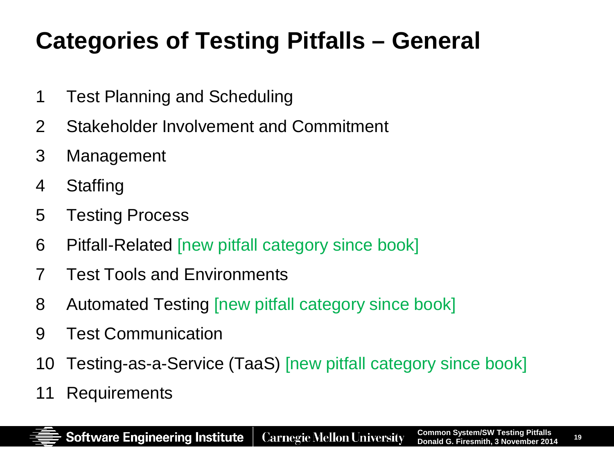# **Categories of Testing Pitfalls – General**

- Test Planning and Scheduling
- Stakeholder Involvement and Commitment
- Management
- 4 Staffing
- Testing Process
- Pitfall-Related [new pitfall category since book]
- Test Tools and Environments
- Automated Testing [new pitfall category since book]
- Test Communication
- Testing-as-a-Service (TaaS) [new pitfall category since book]
- Requirements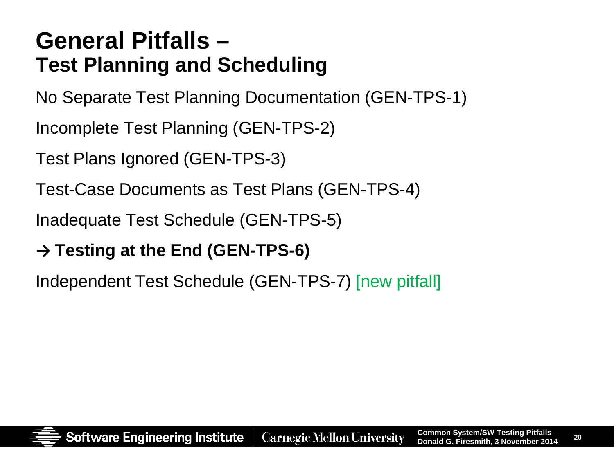### **General Pitfalls – Test Planning and Scheduling**

No Separate Test Planning Documentation (GEN-TPS-1)

Incomplete Test Planning (GEN-TPS-2)

Test Plans Ignored (GEN-TPS-3)

Test-Case Documents as Test Plans (GEN-TPS-4)

Inadequate Test Schedule (GEN-TPS-5)

#### **→ Testing at the End (GEN-TPS-6)**

Independent Test Schedule (GEN-TPS-7) [new pitfall]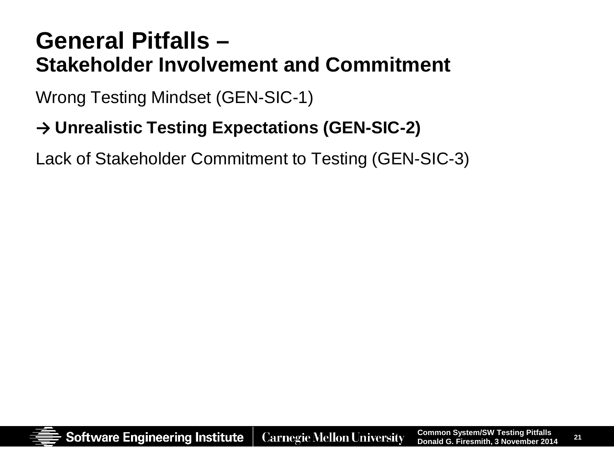### **General Pitfalls – Stakeholder Involvement and Commitment**

Wrong Testing Mindset (GEN-SIC-1)

#### **→ Unrealistic Testing Expectations (GEN-SIC-2)**

Lack of Stakeholder Commitment to Testing (GEN-SIC-3)

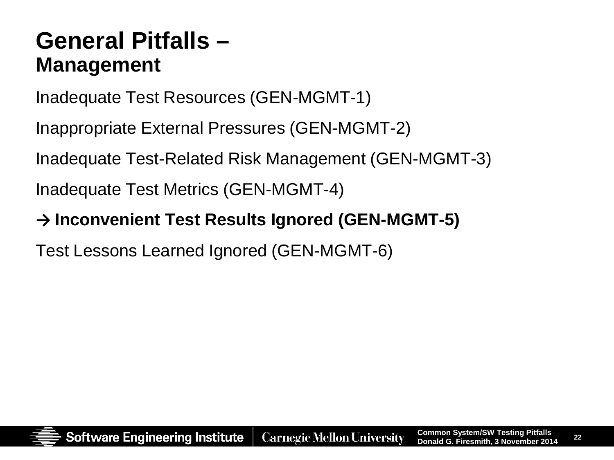### **General Pitfalls – Management**

Inadequate Test Resources (GEN-MGMT-1)

Inappropriate External Pressures (GEN-MGMT-2)

Inadequate Test-Related Risk Management (GEN-MGMT-3)

Inadequate Test Metrics (GEN-MGMT-4)

#### **→ Inconvenient Test Results Ignored (GEN-MGMT-5)**

Test Lessons Learned Ignored (GEN-MGMT-6)

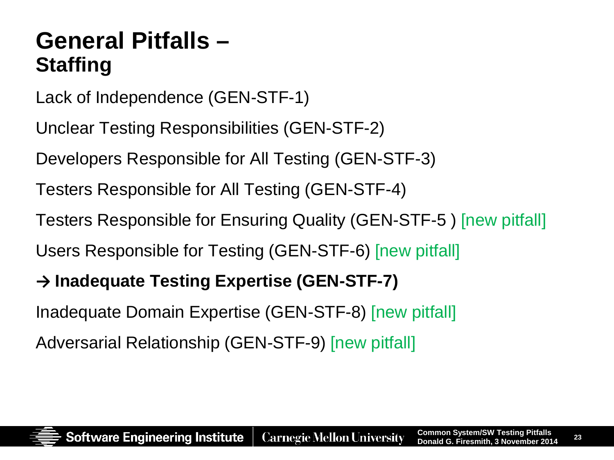## **General Pitfalls – Staffing**

- Lack of Independence (GEN-STF-1)
- Unclear Testing Responsibilities (GEN-STF-2)
- Developers Responsible for All Testing (GEN-STF-3)
- Testers Responsible for All Testing (GEN-STF-4)
- Testers Responsible for Ensuring Quality (GEN-STF-5 ) [new pitfall]
- Users Responsible for Testing (GEN-STF-6) [new pitfall]
- **→ Inadequate Testing Expertise (GEN-STF-7)**
- Inadequate Domain Expertise (GEN-STF-8) [new pitfall]
- Adversarial Relationship (GEN-STF-9) [new pitfall]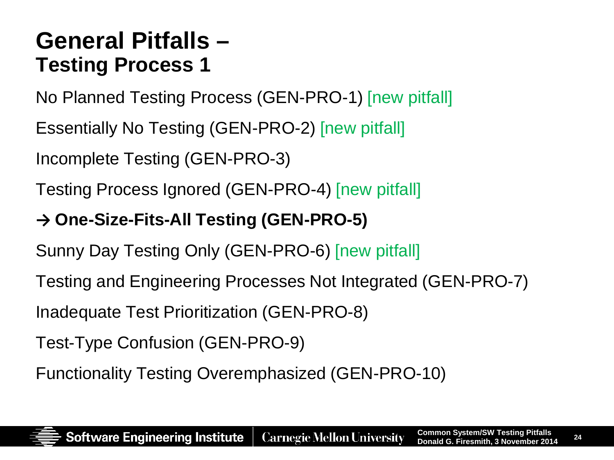### **General Pitfalls – Testing Process 1**

No Planned Testing Process (GEN-PRO-1) [new pitfall]

Essentially No Testing (GEN-PRO-2) [new pitfall]

Incomplete Testing (GEN-PRO-3)

Testing Process Ignored (GEN-PRO-4) [new pitfall]

#### **→ One-Size-Fits-All Testing (GEN-PRO-5)**

Sunny Day Testing Only (GEN-PRO-6) [new pitfall]

Testing and Engineering Processes Not Integrated (GEN-PRO-7)

Inadequate Test Prioritization (GEN-PRO-8)

Test-Type Confusion (GEN-PRO-9)

Functionality Testing Overemphasized (GEN-PRO-10)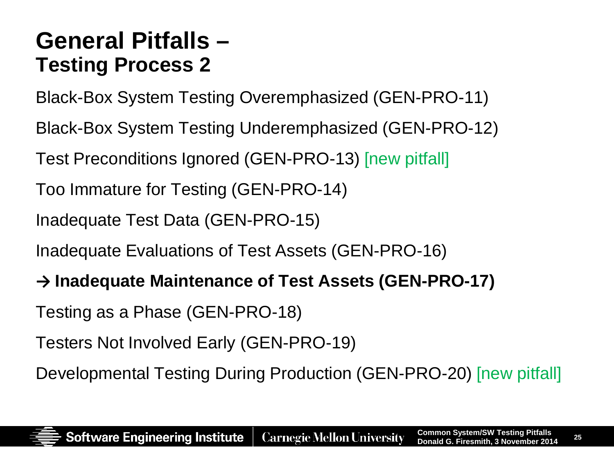### **General Pitfalls – Testing Process 2**

Black-Box System Testing Overemphasized (GEN-PRO-11)

- Black-Box System Testing Underemphasized (GEN-PRO-12)
- Test Preconditions Ignored (GEN-PRO-13) [new pitfall]
- Too Immature for Testing (GEN-PRO-14)

Inadequate Test Data (GEN-PRO-15)

Inadequate Evaluations of Test Assets (GEN-PRO-16)

#### **→ Inadequate Maintenance of Test Assets (GEN-PRO-17)**

Testing as a Phase (GEN-PRO-18)

Testers Not Involved Early (GEN-PRO-19)

Developmental Testing During Production (GEN-PRO-20) [new pitfall]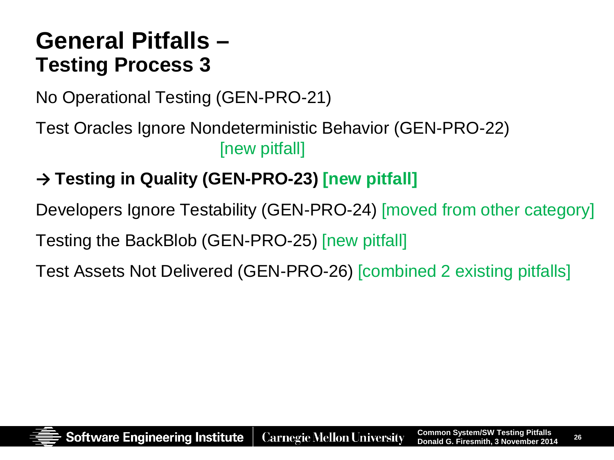### **General Pitfalls – Testing Process 3**

No Operational Testing (GEN-PRO-21)

Test Oracles Ignore Nondeterministic Behavior (GEN-PRO-22) [new pitfall]

#### **→ Testing in Quality (GEN-PRO-23) [new pitfall]**

Developers Ignore Testability (GEN-PRO-24) [moved from other category] Testing the BackBlob (GEN-PRO-25) [new pitfall] Test Assets Not Delivered (GEN-PRO-26) [combined 2 existing pitfalls]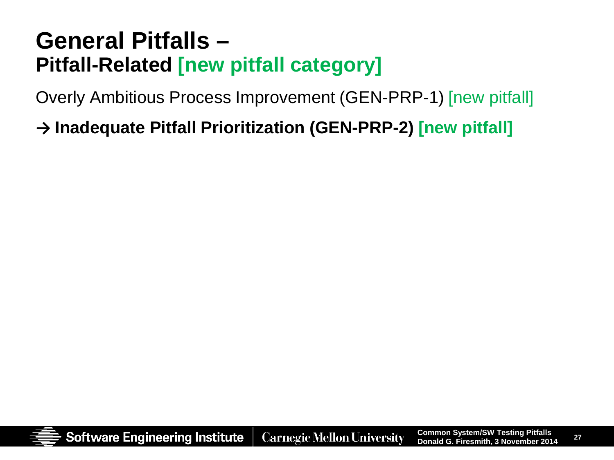### **General Pitfalls – Pitfall-Related [new pitfall category]**

Overly Ambitious Process Improvement (GEN-PRP-1) [new pitfall]

**→ Inadequate Pitfall Prioritization (GEN-PRP-2) [new pitfall]**

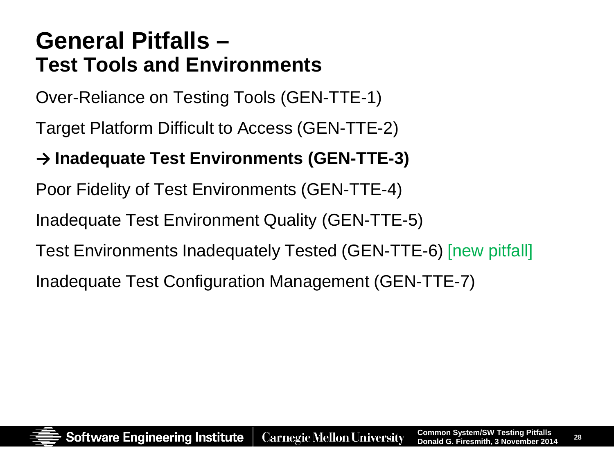### **General Pitfalls – Test Tools and Environments**

Over-Reliance on Testing Tools (GEN-TTE-1)

Target Platform Difficult to Access (GEN-TTE-2)

#### **→ Inadequate Test Environments (GEN-TTE-3)**

Poor Fidelity of Test Environments (GEN-TTE-4)

Inadequate Test Environment Quality (GEN-TTE-5)

Test Environments Inadequately Tested (GEN-TTE-6) [new pitfall]

Inadequate Test Configuration Management (GEN-TTE-7)

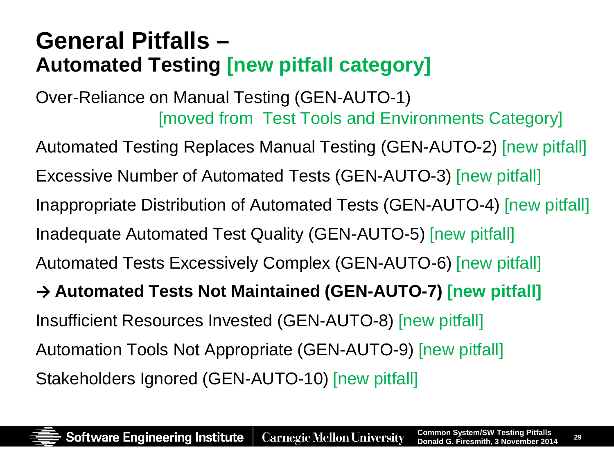## **General Pitfalls – Automated Testing [new pitfall category]**

Over-Reliance on Manual Testing (GEN-AUTO-1) [moved from Test Tools and Environments Category]

Automated Testing Replaces Manual Testing (GEN-AUTO-2) [new pitfall] Excessive Number of Automated Tests (GEN-AUTO-3) [new pitfall] Inappropriate Distribution of Automated Tests (GEN-AUTO-4) [new pitfall] Inadequate Automated Test Quality (GEN-AUTO-5) [new pitfall] Automated Tests Excessively Complex (GEN-AUTO-6) [new pitfall] **→ Automated Tests Not Maintained (GEN-AUTO-7) [new pitfall]** Insufficient Resources Invested (GEN-AUTO-8) [new pitfall] Automation Tools Not Appropriate (GEN-AUTO-9) [new pitfall] Stakeholders Ignored (GEN-AUTO-10) [new pitfall]

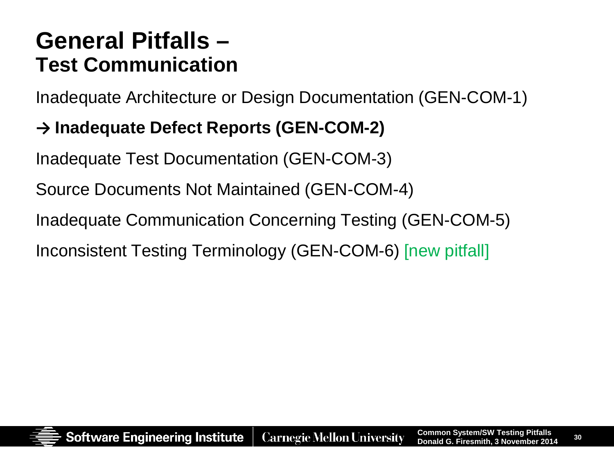### **General Pitfalls – Test Communication**

Inadequate Architecture or Design Documentation (GEN-COM-1)

#### **→ Inadequate Defect Reports (GEN-COM-2)**

Inadequate Test Documentation (GEN-COM-3)

Source Documents Not Maintained (GEN-COM-4)

Inadequate Communication Concerning Testing (GEN-COM-5)

Inconsistent Testing Terminology (GEN-COM-6) [new pitfall]

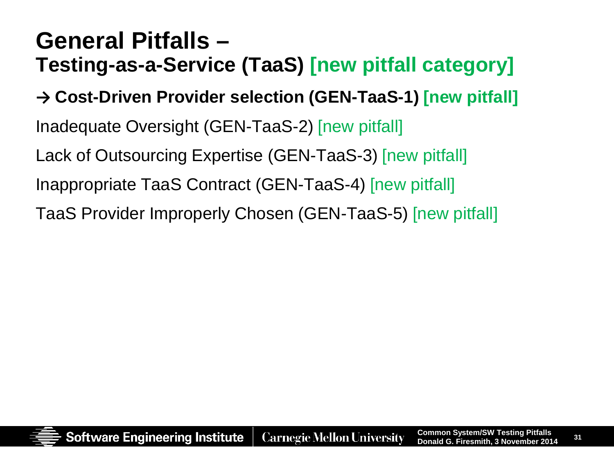# **General Pitfalls – Testing-as-a-Service (TaaS) [new pitfall category] → Cost-Driven Provider selection (GEN-TaaS-1) [new pitfall]** Inadequate Oversight (GEN-TaaS-2) [new pitfall] Lack of Outsourcing Expertise (GEN-TaaS-3) [new pitfall] Inappropriate TaaS Contract (GEN-TaaS-4) [new pitfall] TaaS Provider Improperly Chosen (GEN-TaaS-5) [new pitfall]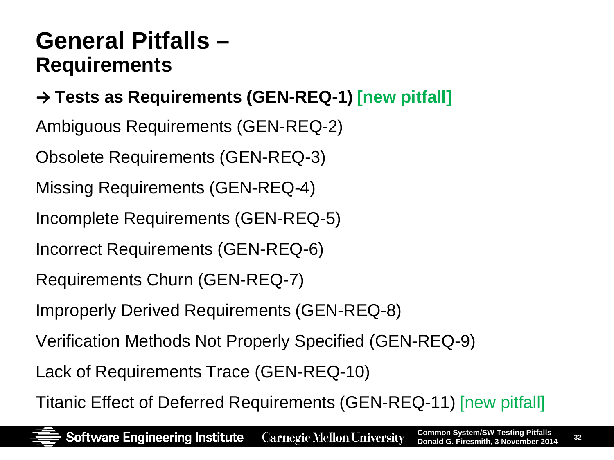### **General Pitfalls – Requirements**

#### **→ Tests as Requirements (GEN-REQ-1) [new pitfall]**

Ambiguous Requirements (GEN-REQ-2)

Obsolete Requirements (GEN-REQ-3)

Missing Requirements (GEN-REQ-4)

Incomplete Requirements (GEN-REQ-5)

Incorrect Requirements (GEN-REQ-6)

Requirements Churn (GEN-REQ-7)

Improperly Derived Requirements (GEN-REQ-8)

Verification Methods Not Properly Specified (GEN-REQ-9)

Lack of Requirements Trace (GEN-REQ-10)

Titanic Effect of Deferred Requirements (GEN-REQ-11) [new pitfall]

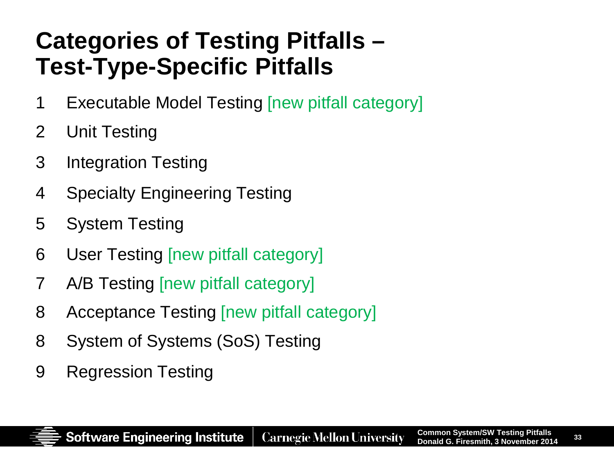# **Categories of Testing Pitfalls – Test-Type-Specific Pitfalls**

- 1 Executable Model Testing [new pitfall category]
- 2 Unit Testing
- 3 Integration Testing
- 4 Specialty Engineering Testing
- 5 System Testing
- 6 User Testing [new pitfall category]
- 7 A/B Testing [new pitfall category]
- 8 Acceptance Testing [new pitfall category]
- 8 System of Systems (SoS) Testing
- 9 Regression Testing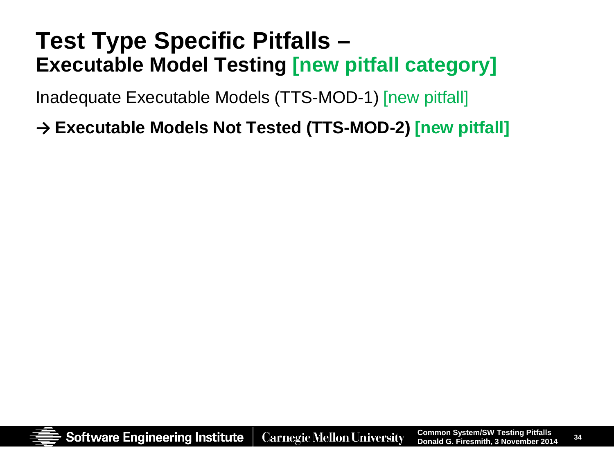### **Test Type Specific Pitfalls – Executable Model Testing [new pitfall category]**

Inadequate Executable Models (TTS-MOD-1) [new pitfall]

#### **→ Executable Models Not Tested (TTS-MOD-2) [new pitfall]**

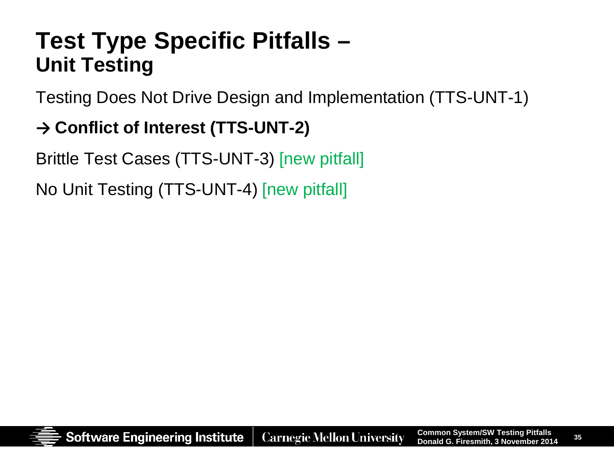### **Test Type Specific Pitfalls – Unit Testing**

Testing Does Not Drive Design and Implementation (TTS-UNT-1)

#### **→ Conflict of Interest (TTS-UNT-2)**

Brittle Test Cases (TTS-UNT-3) [new pitfall]

No Unit Testing (TTS-UNT-4) [new pitfall]

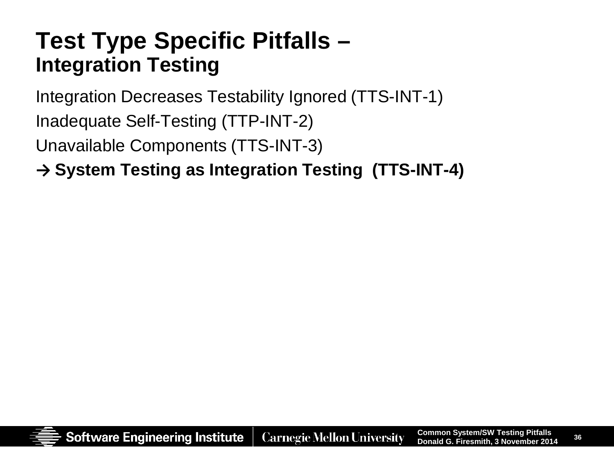## **Test Type Specific Pitfalls – Integration Testing**

Integration Decreases Testability Ignored (TTS-INT-1)

Inadequate Self-Testing (TTP-INT-2)

Unavailable Components (TTS-INT-3)

#### **→ System Testing as Integration Testing (TTS-INT-4)**

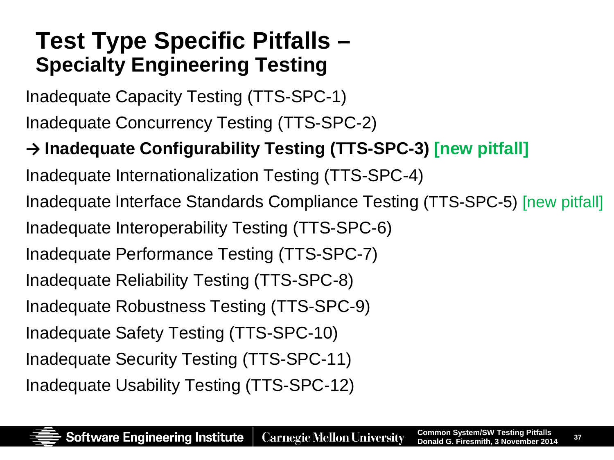### **Test Type Specific Pitfalls – Specialty Engineering Testing**

Inadequate Capacity Testing (TTS-SPC-1) Inadequate Concurrency Testing (TTS-SPC-2)

#### **→ Inadequate Configurability Testing (TTS-SPC-3) [new pitfall]**

Inadequate Internationalization Testing (TTS-SPC-4)

Inadequate Interface Standards Compliance Testing (TTS-SPC-5) [new pitfall] Inadequate Interoperability Testing (TTS-SPC-6)

- Inadequate Performance Testing (TTS-SPC-7)
- Inadequate Reliability Testing (TTS-SPC-8)
- Inadequate Robustness Testing (TTS-SPC-9)
- Inadequate Safety Testing (TTS-SPC-10)
- Inadequate Security Testing (TTS-SPC-11)
- Inadequate Usability Testing (TTS-SPC-12)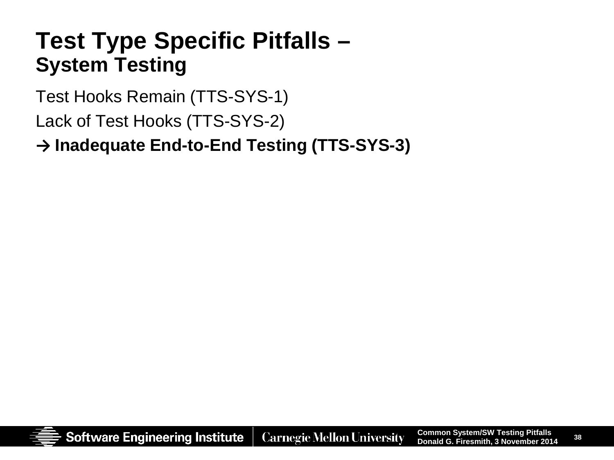## **Test Type Specific Pitfalls – System Testing**

Test Hooks Remain (TTS-SYS-1)

Lack of Test Hooks (TTS-SYS-2)

#### **→ Inadequate End-to-End Testing (TTS-SYS-3)**

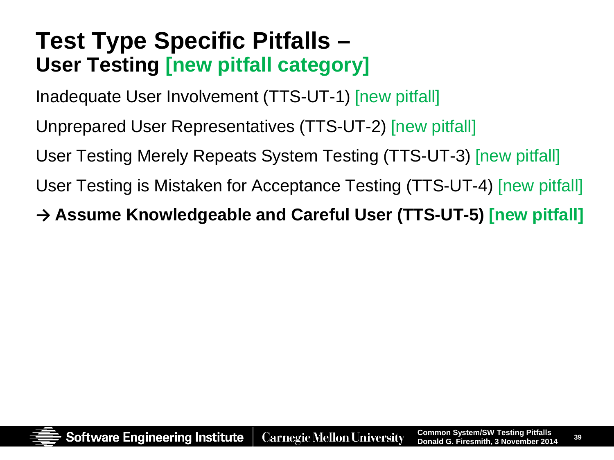### **Test Type Specific Pitfalls – User Testing [new pitfall category]**

Inadequate User Involvement (TTS-UT-1) [new pitfall]

Unprepared User Representatives (TTS-UT-2) [new pitfall]

User Testing Merely Repeats System Testing (TTS-UT-3) [new pitfall]

User Testing is Mistaken for Acceptance Testing (TTS-UT-4) [new pitfall]

**→ Assume Knowledgeable and Careful User (TTS-UT-5) [new pitfall]**

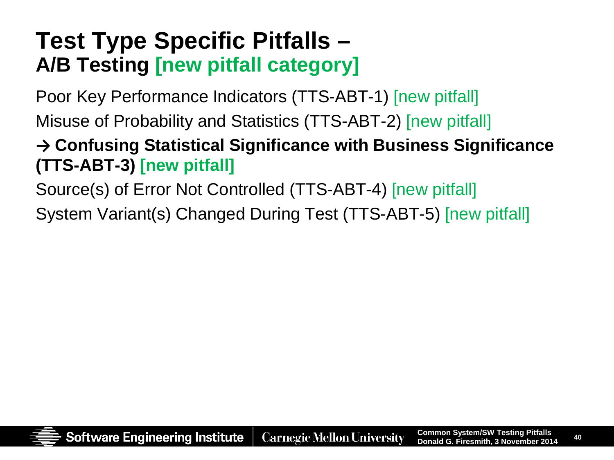### **Test Type Specific Pitfalls – A/B Testing [new pitfall category]**

Poor Key Performance Indicators (TTS-ABT-1) [new pitfall]

Misuse of Probability and Statistics (TTS-ABT-2) [new pitfall]

#### **→ Confusing Statistical Significance with Business Significance (TTS-ABT-3) [new pitfall]**

Source(s) of Error Not Controlled (TTS-ABT-4) [new pitfall]

System Variant(s) Changed During Test (TTS-ABT-5) [new pitfall]

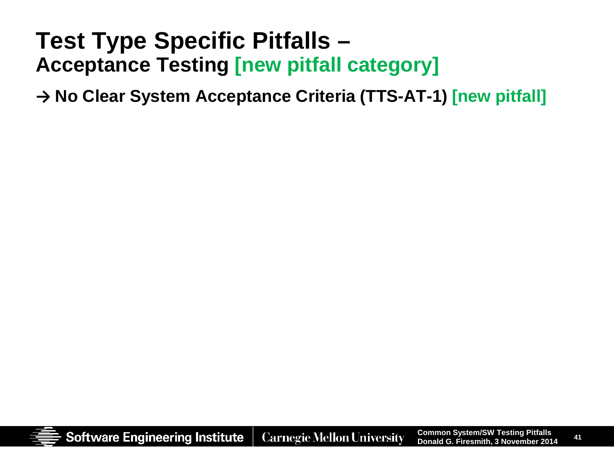### **Test Type Specific Pitfalls – Acceptance Testing [new pitfall category]**

**→ No Clear System Acceptance Criteria (TTS-AT-1) [new pitfall]**

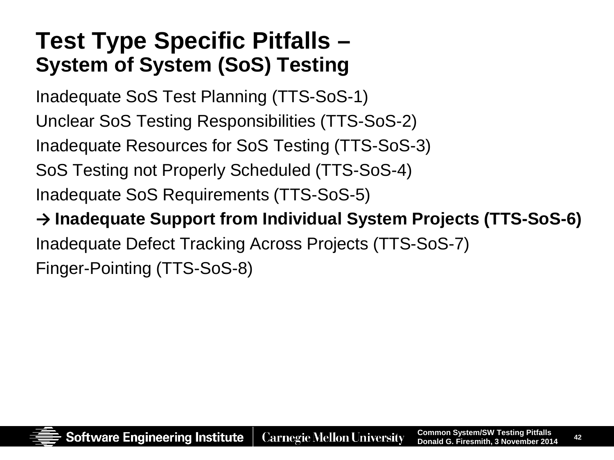### **Test Type Specific Pitfalls – System of System (SoS) Testing**

Inadequate SoS Test Planning (TTS-SoS-1) Unclear SoS Testing Responsibilities (TTS-SoS-2) Inadequate Resources for SoS Testing (TTS-SoS-3) SoS Testing not Properly Scheduled (TTS-SoS-4) Inadequate SoS Requirements (TTS-SoS-5)

**→ Inadequate Support from Individual System Projects (TTS-SoS-6)** Inadequate Defect Tracking Across Projects (TTS-SoS-7) Finger-Pointing (TTS-SoS-8)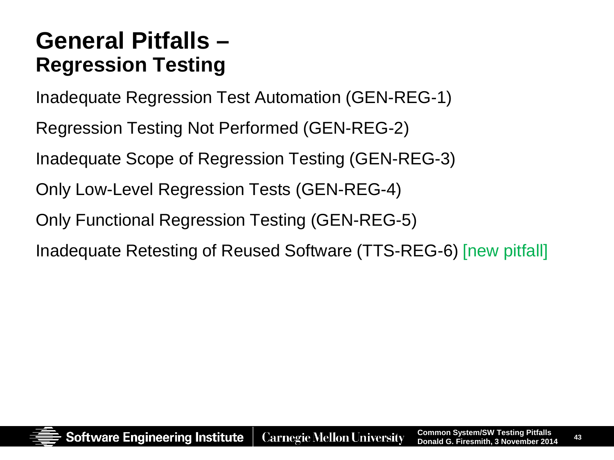### **General Pitfalls – Regression Testing**

Inadequate Regression Test Automation (GEN-REG-1)

Regression Testing Not Performed (GEN-REG-2)

Inadequate Scope of Regression Testing (GEN-REG-3)

Only Low-Level Regression Tests (GEN-REG-4)

Only Functional Regression Testing (GEN-REG-5)

Inadequate Retesting of Reused Software (TTS-REG-6) [new pitfall]

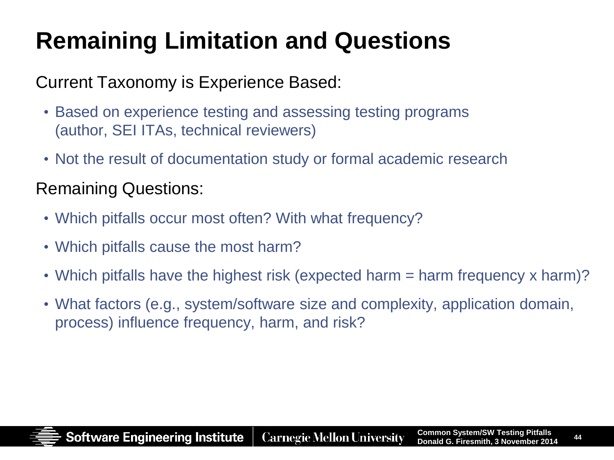# **Remaining Limitation and Questions**

#### Current Taxonomy is Experience Based:

- Based on experience testing and assessing testing programs (author, SEI ITAs, technical reviewers)
- Not the result of documentation study or formal academic research

#### Remaining Questions:

- Which pitfalls occur most often? With what frequency?
- Which pitfalls cause the most harm?
- Which pitfalls have the highest risk (expected harm = harm frequency x harm)?
- What factors (e.g., system/software size and complexity, application domain, process) influence frequency, harm, and risk?

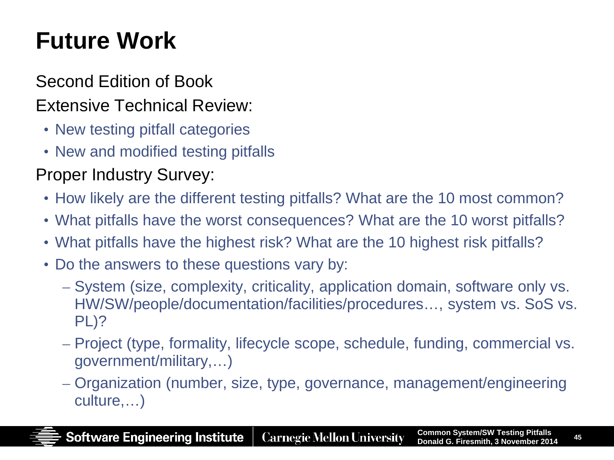# **Future Work**

#### Second Edition of Book

Extensive Technical Review:

- New testing pitfall categories
- New and modified testing pitfalls

#### Proper Industry Survey:

- How likely are the different testing pitfalls? What are the 10 most common?
- What pitfalls have the worst consequences? What are the 10 worst pitfalls?
- What pitfalls have the highest risk? What are the 10 highest risk pitfalls?
- Do the answers to these questions vary by:
	- System (size, complexity, criticality, application domain, software only vs. HW/SW/people/documentation/facilities/procedures…, system vs. SoS vs. PL)?
	- Project (type, formality, lifecycle scope, schedule, funding, commercial vs. government/military,…)
	- Organization (number, size, type, governance, management/engineering culture,…)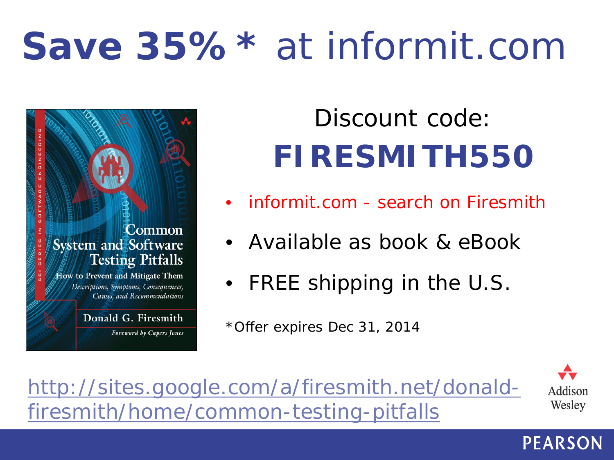# **Save 35%\*** at informit.com

# Common **System and Software Testing Pitfalls** How to Prevent and Mitigate Them

Descriptions, Symptoms, Consequences, Causes, and Recommendations

> Donald G. Firesmith **Foreword by Capers Jones**

# Discount code: **FIRESMITH550**

- informit.com search on Firesmith
- Available as book & eBook
- FREE shipping in the U.S.

\*Offer expires Dec 31, 2014

[http://sites.google.com/a/firesmith.net/donald](http://sites.google.com/a/firesmith.net/donald-firesmith/home/common-testing-pitfalls)firesmith/home/common-testing-pitfalls



Addison Wesley